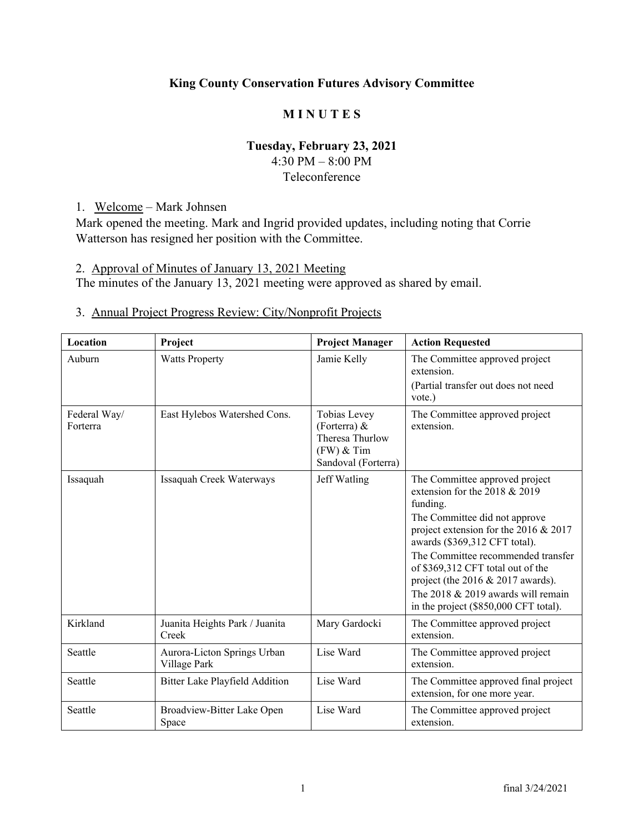# **King County Conservation Futures Advisory Committee**

# **M I N U T E S**

## **Tuesday, February 23, 2021**

4:30 PM – 8:00 PM Teleconference

1. Welcome – Mark Johnsen

Mark opened the meeting. Mark and Ingrid provided updates, including noting that Corrie Watterson has resigned her position with the Committee.

2. Approval of Minutes of January 13, 2021 Meeting

The minutes of the January 13, 2021 meeting were approved as shared by email.

# 3. Annual Project Progress Review: City/Nonprofit Projects

| Location                 | Project                                     | <b>Project Manager</b>                                                                   | <b>Action Requested</b>                                                                                                                                                                          |
|--------------------------|---------------------------------------------|------------------------------------------------------------------------------------------|--------------------------------------------------------------------------------------------------------------------------------------------------------------------------------------------------|
| Auburn                   | <b>Watts Property</b>                       | Jamie Kelly                                                                              | The Committee approved project<br>extension.<br>(Partial transfer out does not need<br>vote.)                                                                                                    |
| Federal Way/<br>Forterra | East Hylebos Watershed Cons.                | Tobias Levey<br>(Forterra) $&$<br>Theresa Thurlow<br>$(FW)$ & Tim<br>Sandoval (Forterra) | The Committee approved project<br>extension.                                                                                                                                                     |
| Issaquah                 | Issaquah Creek Waterways                    | Jeff Watling                                                                             | The Committee approved project<br>extension for the $2018 & 2019$<br>funding.                                                                                                                    |
|                          |                                             |                                                                                          | The Committee did not approve<br>project extension for the 2016 & 2017<br>awards (\$369,312 CFT total).                                                                                          |
|                          |                                             |                                                                                          | The Committee recommended transfer<br>of \$369,312 CFT total out of the<br>project (the $2016 \& 2017$ awards).<br>The 2018 $& 2019$ awards will remain<br>in the project (\$850,000 CFT total). |
| Kirkland                 | Juanita Heights Park / Juanita<br>Creek     | Mary Gardocki                                                                            | The Committee approved project<br>extension.                                                                                                                                                     |
| Seattle                  | Aurora-Licton Springs Urban<br>Village Park | Lise Ward                                                                                | The Committee approved project<br>extension.                                                                                                                                                     |
| Seattle                  | <b>Bitter Lake Playfield Addition</b>       | Lise Ward                                                                                | The Committee approved final project<br>extension, for one more year.                                                                                                                            |
| Seattle                  | Broadview-Bitter Lake Open<br>Space         | Lise Ward                                                                                | The Committee approved project<br>extension.                                                                                                                                                     |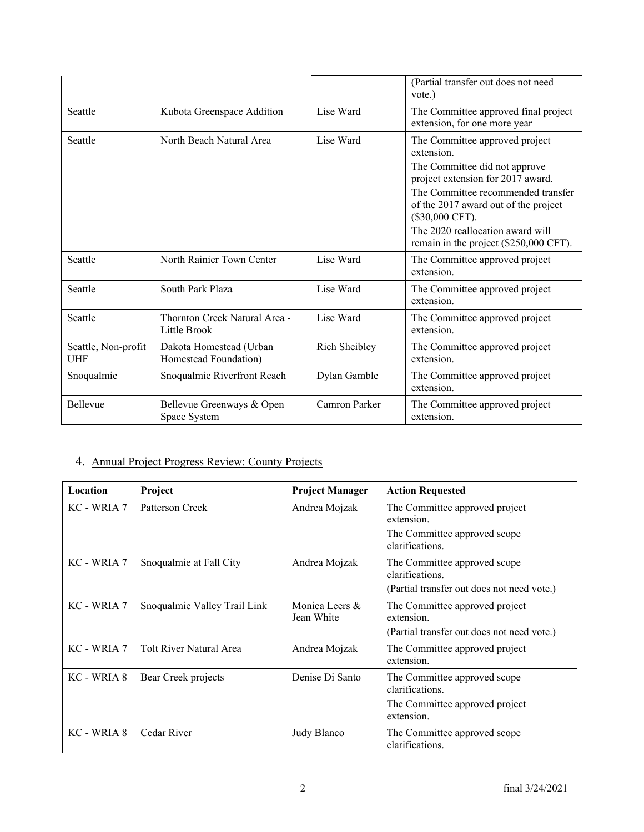|                                   |                                                  |               | (Partial transfer out does not need<br>vote.)                                                                                                                                                                                                                                                     |
|-----------------------------------|--------------------------------------------------|---------------|---------------------------------------------------------------------------------------------------------------------------------------------------------------------------------------------------------------------------------------------------------------------------------------------------|
| Seattle                           | Kubota Greenspace Addition                       | Lise Ward     | The Committee approved final project<br>extension, for one more year                                                                                                                                                                                                                              |
| Seattle                           | North Beach Natural Area                         | Lise Ward     | The Committee approved project<br>extension.<br>The Committee did not approve<br>project extension for 2017 award.<br>The Committee recommended transfer<br>of the 2017 award out of the project<br>(\$30,000 CFT).<br>The 2020 reallocation award will<br>remain in the project (\$250,000 CFT). |
| Seattle                           | North Rainier Town Center                        | Lise Ward     | The Committee approved project<br>extension.                                                                                                                                                                                                                                                      |
| Seattle                           | South Park Plaza                                 | Lise Ward     | The Committee approved project<br>extension.                                                                                                                                                                                                                                                      |
| Seattle                           | Thornton Creek Natural Area -<br>Little Brook    | Lise Ward     | The Committee approved project<br>extension.                                                                                                                                                                                                                                                      |
| Seattle, Non-profit<br><b>UHF</b> | Dakota Homestead (Urban<br>Homestead Foundation) | Rich Sheibley | The Committee approved project<br>extension.                                                                                                                                                                                                                                                      |
| Snoqualmie                        | Snoqualmie Riverfront Reach                      | Dylan Gamble  | The Committee approved project<br>extension.                                                                                                                                                                                                                                                      |
| <b>Bellevue</b>                   | Bellevue Greenways & Open<br>Space System        | Camron Parker | The Committee approved project<br>extension.                                                                                                                                                                                                                                                      |

# 4. Annual Project Progress Review: County Projects

| Location    | Project                      | <b>Project Manager</b>       | <b>Action Requested</b>                                                                         |
|-------------|------------------------------|------------------------------|-------------------------------------------------------------------------------------------------|
| KC - WRIA 7 | Patterson Creek              | Andrea Mojzak                | The Committee approved project<br>extension.<br>The Committee approved scope<br>clarifications. |
| KC - WRIA 7 | Snoqualmie at Fall City      | Andrea Mojzak                | The Committee approved scope<br>clarifications.<br>(Partial transfer out does not need vote.)   |
| KC - WRIA 7 | Snoqualmie Valley Trail Link | Monica Leers &<br>Jean White | The Committee approved project<br>extension.<br>(Partial transfer out does not need vote.)      |
| KC - WRIA 7 | Tolt River Natural Area      | Andrea Mojzak                | The Committee approved project<br>extension.                                                    |
| KC - WRIA 8 | Bear Creek projects          | Denise Di Santo              | The Committee approved scope<br>clarifications.<br>The Committee approved project<br>extension. |
| KC - WRIA 8 | Cedar River                  | Judy Blanco                  | The Committee approved scope<br>clarifications.                                                 |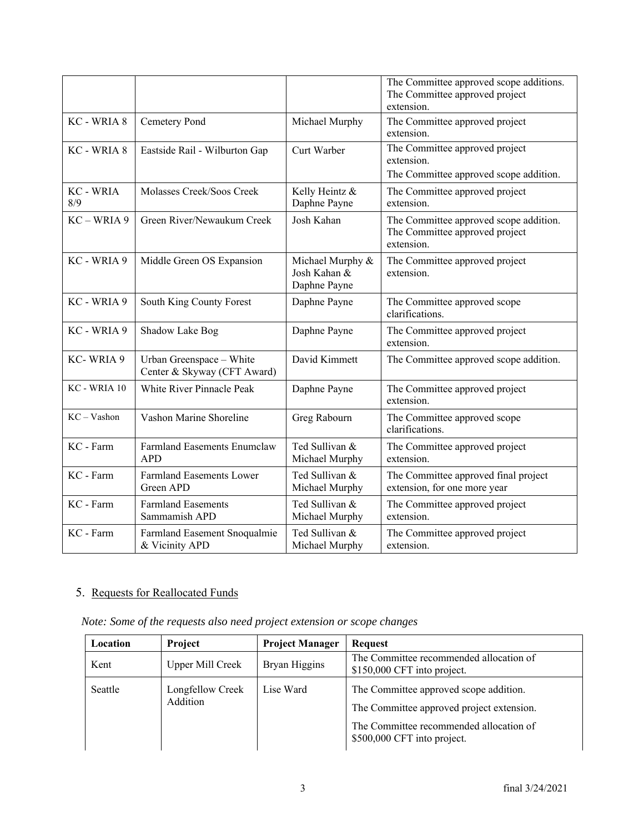|                         |                                                         |                                                  | The Committee approved scope additions.<br>The Committee approved project<br>extension. |
|-------------------------|---------------------------------------------------------|--------------------------------------------------|-----------------------------------------------------------------------------------------|
| KC - WRIA 8             | Cemetery Pond                                           | Michael Murphy                                   | The Committee approved project<br>extension.                                            |
| KC - WRIA 8             | Eastside Rail - Wilburton Gap                           | Curt Warber                                      | The Committee approved project<br>extension.<br>The Committee approved scope addition.  |
| <b>KC - WRIA</b><br>8/9 | Molasses Creek/Soos Creek                               | Kelly Heintz &<br>Daphne Payne                   | The Committee approved project<br>extension.                                            |
| KC - WRIA 9             | Green River/Newaukum Creek                              | Josh Kahan                                       | The Committee approved scope addition.<br>The Committee approved project<br>extension.  |
| KC - WRIA 9             | Middle Green OS Expansion                               | Michael Murphy &<br>Josh Kahan &<br>Daphne Payne | The Committee approved project<br>extension.                                            |
| KC - WRIA 9             | South King County Forest                                | Daphne Payne                                     | The Committee approved scope<br>clarifications.                                         |
| KC - WRIA 9             | Shadow Lake Bog                                         | Daphne Payne                                     | The Committee approved project<br>extension.                                            |
| KC-WRIA 9               | Urban Greenspace - White<br>Center & Skyway (CFT Award) | David Kimmett                                    | The Committee approved scope addition.                                                  |
| KC - WRIA 10            | White River Pinnacle Peak                               | Daphne Payne                                     | The Committee approved project<br>extension.                                            |
| $KC - Vashon$           | Vashon Marine Shoreline                                 | Greg Rabourn                                     | The Committee approved scope<br>clarifications.                                         |
| KC - Farm               | <b>Farmland Easements Enumclaw</b><br><b>APD</b>        | Ted Sullivan &<br>Michael Murphy                 | The Committee approved project<br>extension.                                            |
| KC - Farm               | <b>Farmland Easements Lower</b><br>Green APD            | Ted Sullivan &<br>Michael Murphy                 | The Committee approved final project<br>extension, for one more year                    |
| KC - Farm               | <b>Farmland Easements</b><br>Sammamish APD              | Ted Sullivan &<br>Michael Murphy                 | The Committee approved project<br>extension.                                            |
| KC - Farm               | Farmland Easement Snoqualmie<br>& Vicinity APD          | Ted Sullivan &<br>Michael Murphy                 | The Committee approved project<br>extension.                                            |

# 5. Requests for Reallocated Funds

|  |  |  | Note: Some of the requests also need project extension or scope changes |  |
|--|--|--|-------------------------------------------------------------------------|--|
|  |  |  |                                                                         |  |
|  |  |  |                                                                         |  |

| Location | <b>Project</b>               | <b>Project Manager</b> | <b>Request</b>                                                                                                                                                |
|----------|------------------------------|------------------------|---------------------------------------------------------------------------------------------------------------------------------------------------------------|
| Kent     | <b>Upper Mill Creek</b>      | Bryan Higgins          | The Committee recommended allocation of<br>\$150,000 CFT into project.                                                                                        |
| Seattle  | Longfellow Creek<br>Addition | Lise Ward              | The Committee approved scope addition.<br>The Committee approved project extension.<br>The Committee recommended allocation of<br>\$500,000 CFT into project. |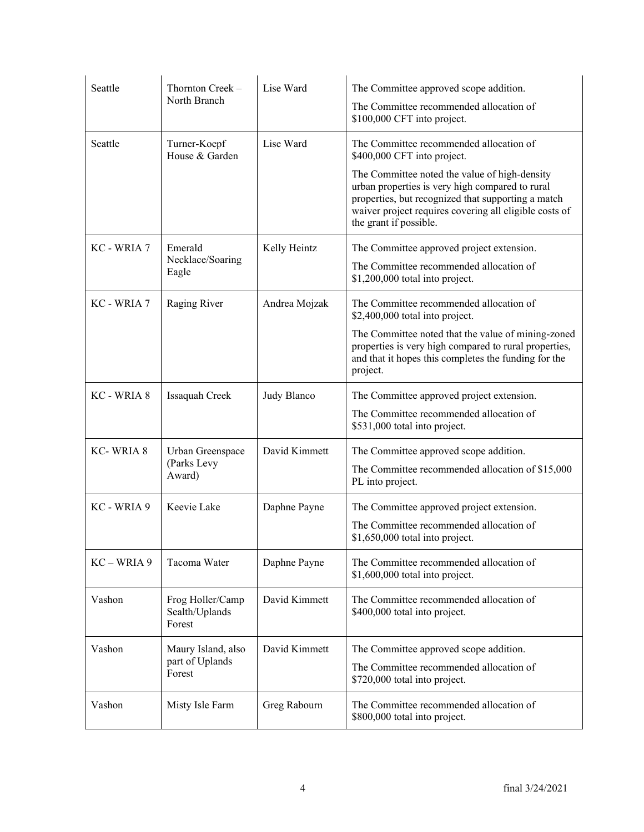| Seattle       | Thornton Creek -<br>North Branch                | Lise Ward     | The Committee approved scope addition.<br>The Committee recommended allocation of<br>\$100,000 CFT into project.                                                                                                                                                                                                     |
|---------------|-------------------------------------------------|---------------|----------------------------------------------------------------------------------------------------------------------------------------------------------------------------------------------------------------------------------------------------------------------------------------------------------------------|
| Seattle       | Turner-Koepf<br>House & Garden                  | Lise Ward     | The Committee recommended allocation of<br>\$400,000 CFT into project.<br>The Committee noted the value of high-density<br>urban properties is very high compared to rural<br>properties, but recognized that supporting a match<br>waiver project requires covering all eligible costs of<br>the grant if possible. |
| KC - WRIA 7   | Emerald<br>Necklace/Soaring<br>Eagle            | Kelly Heintz  | The Committee approved project extension.<br>The Committee recommended allocation of<br>\$1,200,000 total into project.                                                                                                                                                                                              |
| KC - WRIA 7   | Raging River                                    | Andrea Mojzak | The Committee recommended allocation of<br>\$2,400,000 total into project.<br>The Committee noted that the value of mining-zoned<br>properties is very high compared to rural properties,<br>and that it hopes this completes the funding for the<br>project.                                                        |
| KC - WRIA 8   | Issaquah Creek                                  | Judy Blanco   | The Committee approved project extension.<br>The Committee recommended allocation of<br>\$531,000 total into project.                                                                                                                                                                                                |
| KC-WRIA 8     | Urban Greenspace<br>(Parks Levy<br>Award)       | David Kimmett | The Committee approved scope addition.<br>The Committee recommended allocation of \$15,000<br>PL into project.                                                                                                                                                                                                       |
| KC - WRIA 9   | Keevie Lake                                     | Daphne Payne  | The Committee approved project extension.<br>The Committee recommended allocation of<br>\$1,650,000 total into project.                                                                                                                                                                                              |
| $KC - WRIA 9$ | Tacoma Water                                    | Daphne Payne  | The Committee recommended allocation of<br>\$1,600,000 total into project.                                                                                                                                                                                                                                           |
| Vashon        | Frog Holler/Camp<br>Sealth/Uplands<br>Forest    | David Kimmett | The Committee recommended allocation of<br>\$400,000 total into project.                                                                                                                                                                                                                                             |
| Vashon        | Maury Island, also<br>part of Uplands<br>Forest | David Kimmett | The Committee approved scope addition.<br>The Committee recommended allocation of<br>\$720,000 total into project.                                                                                                                                                                                                   |
| Vashon        | Misty Isle Farm                                 | Greg Rabourn  | The Committee recommended allocation of<br>\$800,000 total into project.                                                                                                                                                                                                                                             |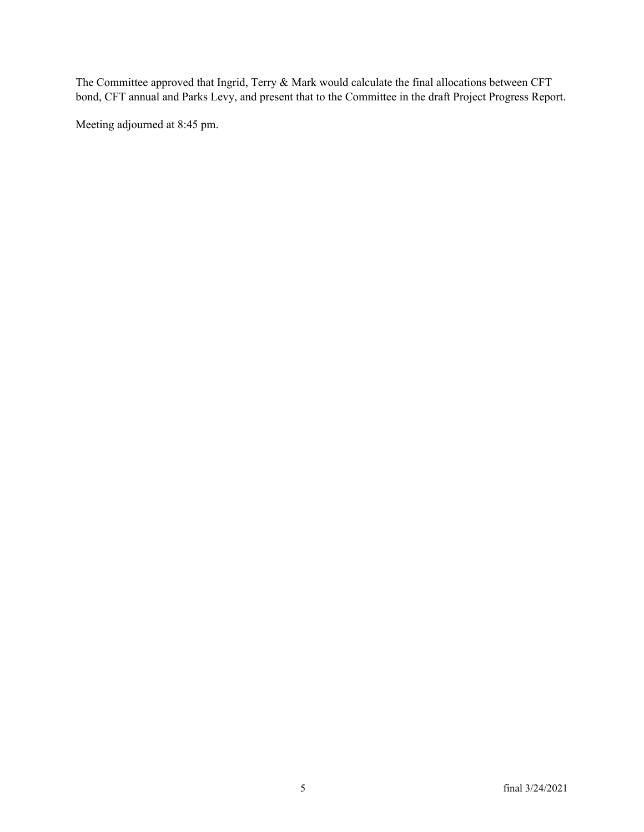The Committee approved that Ingrid, Terry & Mark would calculate the final allocations between CFT bond, CFT annual and Parks Levy, and present that to the Committee in the draft Project Progress Report.

Meeting adjourned at 8:45 pm.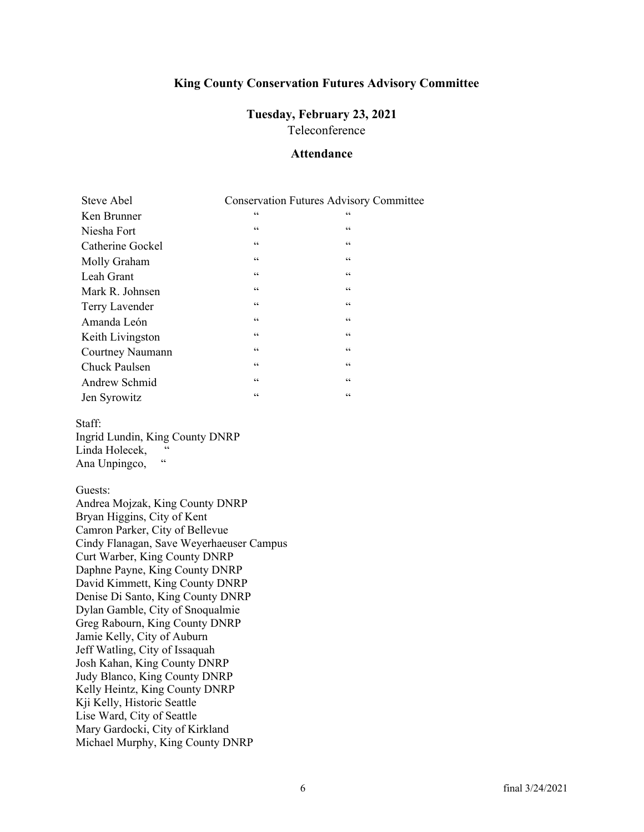### **King County Conservation Futures Advisory Committee**

### **Tuesday, February 23, 2021**  Teleconference

## **Attendance**

| <b>Steve Abel</b>    |                          | <b>Conservation Futures Advisory Committee</b> |
|----------------------|--------------------------|------------------------------------------------|
| Ken Brunner          | $\textsf{G}\,\textsf{G}$ | 66                                             |
| Niesha Fort          | $\mbox{\bf 6}$           | 66                                             |
| Catherine Gockel     | $\zeta$ $\zeta$          | $\mbox{\bf 6}$                                 |
| Molly Graham         | 66                       | 66                                             |
| Leah Grant           | 66                       | 66                                             |
| Mark R. Johnsen      | $\mbox{\bf 6}$           | $\mbox{\bf 6}$                                 |
| Terry Lavender       | 66                       | 66                                             |
| Amanda León          | $\mbox{\bf 6}$           | $\mbox{\bf 6}$                                 |
| Keith Livingston     | $\mbox{\bf 6}$           | $\mbox{\bf 6}$                                 |
| Courtney Naumann     | $\mbox{\bf 6}$           | 66                                             |
| <b>Chuck Paulsen</b> | 66                       | 66                                             |
| Andrew Schmid        | $\mbox{\bf 6}$           | $\mbox{\bf 6}$                                 |
| Jen Syrowitz         | $\mbox{\bf 6}$           | 66                                             |

Staff:

Ingrid Lundin, King County DNRP Linda Holecek, " Ana Unpingco, "

Guests:

Andrea Mojzak, King County DNRP Bryan Higgins, City of Kent Camron Parker, City of Bellevue Cindy Flanagan, Save Weyerhaeuser Campus Curt Warber, King County DNRP Daphne Payne, King County DNRP David Kimmett, King County DNRP Denise Di Santo, King County DNRP Dylan Gamble, City of Snoqualmie Greg Rabourn, King County DNRP Jamie Kelly, City of Auburn Jeff Watling, City of Issaquah Josh Kahan, King County DNRP Judy Blanco, King County DNRP Kelly Heintz, King County DNRP Kji Kelly, Historic Seattle Lise Ward, City of Seattle Mary Gardocki, City of Kirkland Michael Murphy, King County DNRP